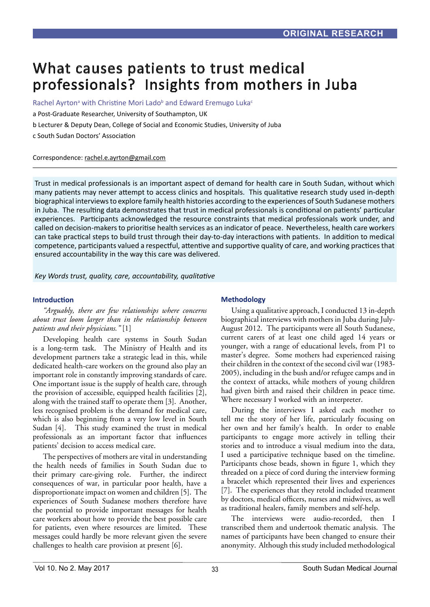# What causes patients to trust medical professionals? Insights from mothers in Juba

Rachel Ayrton<sup>a</sup> with Christine Mori Lado<sup>b</sup> and Edward Eremugo Luka<sup>c</sup>

a Post-Graduate Researcher, University of Southampton, UK

b Lecturer & Deputy Dean, College of Social and Economic Studies, University of Juba

c South Sudan Doctors' Association

Correspondence: rachel.e.ayrton@gmail.com

Trust in medical professionals is an important aspect of demand for health care in South Sudan, without which many patients may never attempt to access clinics and hospitals. This qualitative research study used in-depth biographical interviews to explore family health histories according to the experiences of South Sudanese mothers in Juba. The resulting data demonstrates that trust in medical professionals is conditional on patients' particular experiences. Participants acknowledged the resource constraints that medical professionals work under, and called on decision-makers to prioritise health services as an indicator of peace. Nevertheless, health care workers can take practical steps to build trust through their day-to-day interactions with patients. In addition to medical competence, participants valued a respectful, attentive and supportive quality of care, and working practices that ensured accountability in the way this care was delivered.

*Key Words trust, quality, care, accountability, qualitative*

#### **Introduction**

*"Arguably, there are few relationships where concerns about trust loom larger than in the relationship between patients and their physicians."* [1]

Developing health care systems in South Sudan is a long-term task. The Ministry of Health and its development partners take a strategic lead in this, while dedicated health-care workers on the ground also play an important role in constantly improving standards of care. One important issue is the supply of health care, through the provision of accessible, equipped health facilities [2], along with the trained staff to operate them [3]. Another, less recognised problem is the demand for medical care, which is also beginning from a very low level in South Sudan [4]. This study examined the trust in medical professionals as an important factor that influences patients' decision to access medical care.

The perspectives of mothers are vital in understanding the health needs of families in South Sudan due to their primary care-giving role. Further, the indirect consequences of war, in particular poor health, have a disproportionate impact on women and children [5]. The experiences of South Sudanese mothers therefore have the potential to provide important messages for health care workers about how to provide the best possible care for patients, even where resources are limited. These messages could hardly be more relevant given the severe challenges to health care provision at present [6].

## **Methodology**

Using a qualitative approach, I conducted 13 in-depth biographical interviews with mothers in Juba during July-August 2012. The participants were all South Sudanese, current carers of at least one child aged 14 years or younger, with a range of educational levels, from P1 to master's degree. Some mothers had experienced raising their children in the context of the second civil war (1983- 2005), including in the bush and/or refugee camps and in the context of attacks, while mothers of young children had given birth and raised their children in peace time. Where necessary I worked with an interpreter.

During the interviews I asked each mother to tell me the story of her life, particularly focusing on her own and her family's health. In order to enable participants to engage more actively in telling their stories and to introduce a visual medium into the data, I used a participative technique based on the timeline. Participants chose beads, shown in figure 1, which they threaded on a piece of cord during the interview forming a bracelet which represented their lives and experiences [7]. The experiences that they retold included treatment by doctors, medical officers, nurses and midwives, as well as traditional healers, family members and self-help.

The interviews were audio-recorded, then I transcribed them and undertook thematic analysis. The names of participants have been changed to ensure their anonymity. Although this study included methodological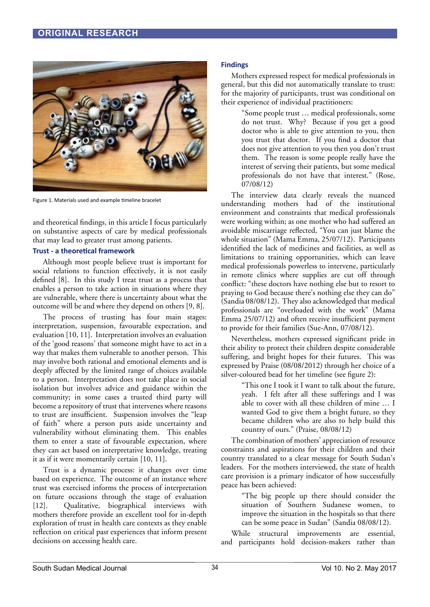

Figure 1. Materials used and example timeline bracelet

and theoretical findings, in this article I focus particularly on substantive aspects of care by medical professionals that may lead to greater trust among patients.

## **Trust - a theoretical framework**

Although most people believe trust is important for social relations to function effectively, it is not easily defined [8]. In this study I treat trust as a process that enables a person to take action in situations where they are vulnerable, where there is uncertainty about what the outcome will be and where they depend on others [9, 8].

The process of trusting has four main stages: interpretation, suspension, favourable expectation, and evaluation [10, 11]. Interpretation involves an evaluation of the 'good reasons' that someone might have to act in a way that makes them vulnerable to another person. This may involve both rational and emotional elements and is deeply affected by the limited range of choices available to a person. Interpretation does not take place in social isolation but involves advice and guidance within the community; in some cases a trusted third party will become a repository of trust that intervenes where reasons to trust are insufficient. Suspension involves the "leap of faith" where a person puts aside uncertainty and vulnerability without eliminating them. This enables them to enter a state of favourable expectation, where they can act based on interpretative knowledge, treating it as if it were momentarily certain [10, 11].

Trust is a dynamic process: it changes over time based on experience. The outcome of an instance where trust was exercised informs the process of interpretation on future occasions through the stage of evaluation [12]. Qualitative, biographical interviews with mothers therefore provide an excellent tool for in-depth exploration of trust in health care contexts as they enable reflection on critical past experiences that inform present decisions on accessing health care.

#### **Findings**

Mothers expressed respect for medical professionals in general, but this did not automatically translate to trust: for the majority of participants, trust was conditional on their experience of individual practitioners:

"Some people trust … medical professionals, some do not trust. Why? Because if you get a good doctor who is able to give attention to you, then you trust that doctor. If you find a doctor that does not give attention to you then you don't trust them. The reason is some people really have the interest of serving their patients, but some medical professionals do not have that interest." (Rose, 07/08/12)

The interview data clearly reveals the nuanced understanding mothers had of the institutional environment and constraints that medical professionals were working within; as one mother who had suffered an avoidable miscarriage reflected, "You can just blame the whole situation" (Mama Emma, 25/07/12). Participants identified the lack of medicines and facilities, as well as limitations to training opportunities, which can leave medical professionals powerless to intervene, particularly in remote clinics where supplies are cut off through conflict: "these doctors have nothing else but to resort to praying to God because there's nothing else they can do" (Sandia 08/08/12). They also acknowledged that medical professionals are "overloaded with the work" (Mama Emma 25/07/12) and often receive insufficient payment to provide for their families (Sue-Ann, 07/08/12).

Nevertheless, mothers expressed significant pride in their ability to protect their children despite considerable suffering, and bright hopes for their futures. This was expressed by Praise (08/08/2012) through her choice of a silver-coloured bead for her timeline (see figure 2):

> "This one I took it I want to talk about the future, yeah. I felt after all these sufferings and I was able to cover with all these children of mine … I wanted God to give them a bright future, so they became children who are also to help build this country of ours." (Praise, 08/08/12)

The combination of mothers' appreciation of resource constraints and aspirations for their children and their country translated to a clear message for South Sudan's leaders. For the mothers interviewed, the state of health care provision is a primary indicator of how successfully peace has been achieved:

> "The big people up there should consider the situation of Southern Sudanese women, to improve the situation in the hospitals so that there can be some peace in Sudan" (Sandia 08/08/12).

While structural improvements are essential, and participants hold decision-makers rather than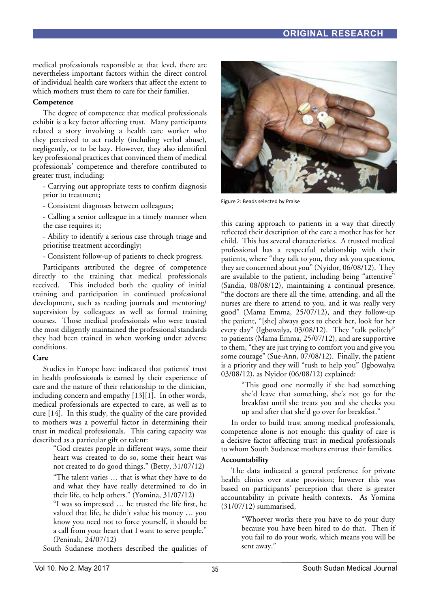medical professionals responsible at that level, there are nevertheless important factors within the direct control of individual health care workers that affect the extent to which mothers trust them to care for their families.

# **Competence**

The degree of competence that medical professionals exhibit is a key factor affecting trust. Many participants related a story involving a health care worker who they perceived to act rudely (including verbal abuse), negligently, or to be lazy. However, they also identified key professional practices that convinced them of medical professionals' competence and therefore contributed to greater trust, including:

- Carrying out appropriate tests to confirm diagnosis prior to treatment;

- Consistent diagnoses between colleagues;

- Calling a senior colleague in a timely manner when the case requires it;

- Ability to identify a serious case through triage and prioritise treatment accordingly;

- Consistent follow-up of patients to check progress.

Participants attributed the degree of competence directly to the training that medical professionals received. This included both the quality of initial training and participation in continued professional development, such as reading journals and mentoring/ supervision by colleagues as well as formal training courses. Those medical professionals who were trusted the most diligently maintained the professional standards they had been trained in when working under adverse conditions.

## **Care**

Studies in Europe have indicated that patients' trust in health professionals is earned by their experience of care and the nature of their relationship to the clinician, including concern and empathy [13][1]. In other words, medical professionals are expected to care, as well as to cure [14]. In this study, the quality of the care provided to mothers was a powerful factor in determining their trust in medical professionals. This caring capacity was described as a particular gift or talent:

> "God creates people in different ways, some their heart was created to do so, some their heart was not created to do good things." (Betty, 31/07/12)

> "The talent varies … that is what they have to do and what they have really determined to do in their life, to help others." (Yomina, 31/07/12)

> "I was so impressed … he trusted the life first, he valued that life, he didn't value his money … you know you need not to force yourself, it should be a call from your heart that I want to serve people." (Peninah, 24/07/12)

South Sudanese mothers described the qualities of



Figure 2: Beads selected by Praise

this caring approach to patients in a way that directly reflected their description of the care a mother has for her child. This has several characteristics. A trusted medical professional has a respectful relationship with their patients, where "they talk to you, they ask you questions, they are concerned about you" (Nyidor, 06/08/12). They are available to the patient, including being "attentive" (Sandia, 08/08/12), maintaining a continual presence, "the doctors are there all the time, attending, and all the nurses are there to attend to you, and it was really very good" (Mama Emma, 25/07/12), and they follow-up the patient, "[she] always goes to check her, look for her every day" (Igbowalya, 03/08/12). They "talk politely" to patients (Mama Emma, 25/07/12), and are supportive to them, "they are just trying to comfort you and give you some courage" (Sue-Ann, 07/08/12). Finally, the patient is a priority and they will "rush to help you" (Igbowalya 03/08/12), as Nyidor (06/08/12) explained:

> "This good one normally if she had something she'd leave that something, she's not go for the breakfast until she treats you and she checks you up and after that she'd go over for breakfast."

In order to build trust among medical professionals, competence alone is not enough: this quality of care is a decisive factor affecting trust in medical professionals to whom South Sudanese mothers entrust their families.

## **Accountability**

The data indicated a general preference for private health clinics over state provision; however this was based on participants' perception that there is greater accountability in private health contexts. As Yomina (31/07/12) summarised,

> "Whoever works there you have to do your duty because you have been hired to do that. Then if you fail to do your work, which means you will be sent away."